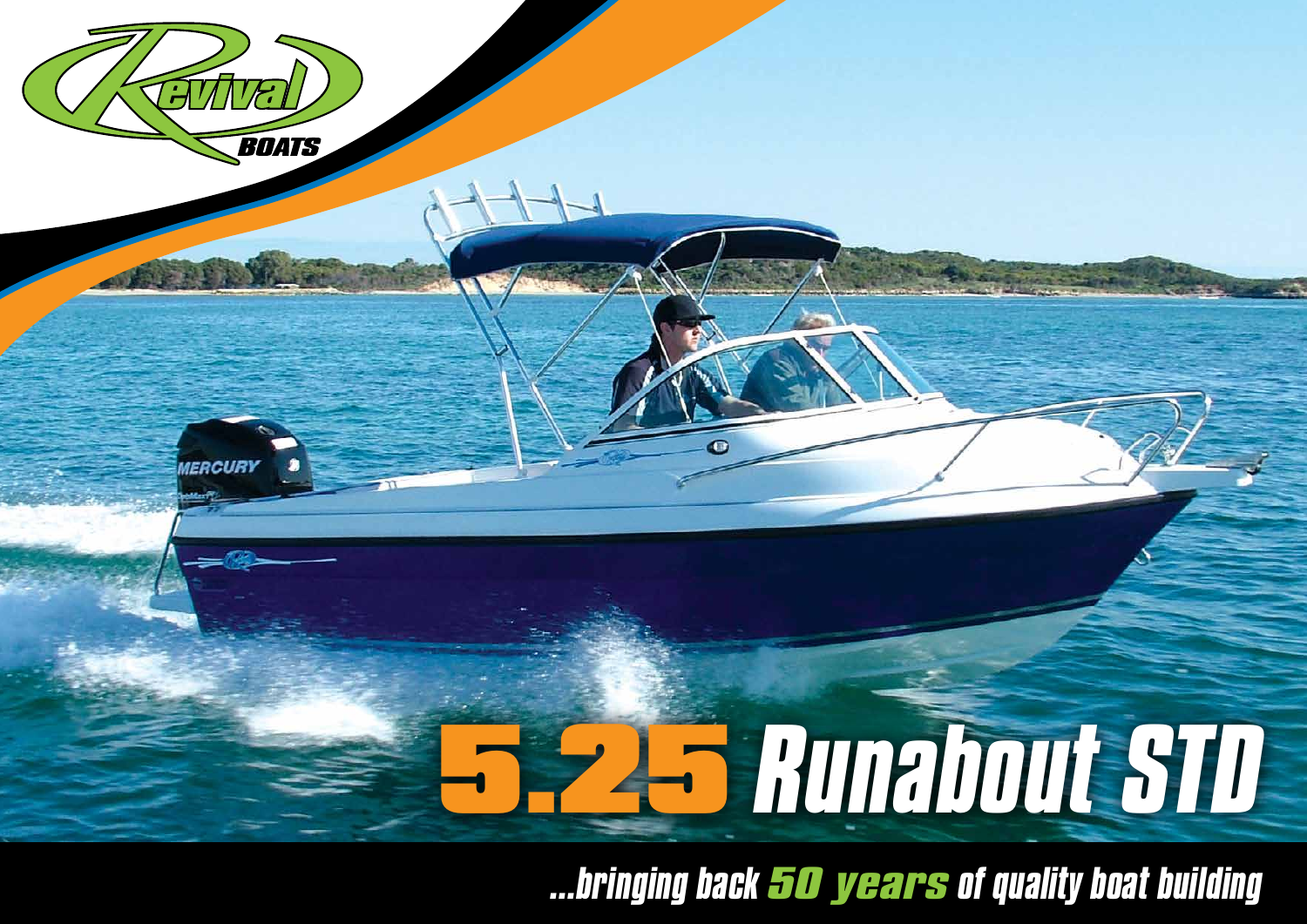

*...bringing back 50 years of quality boat building*